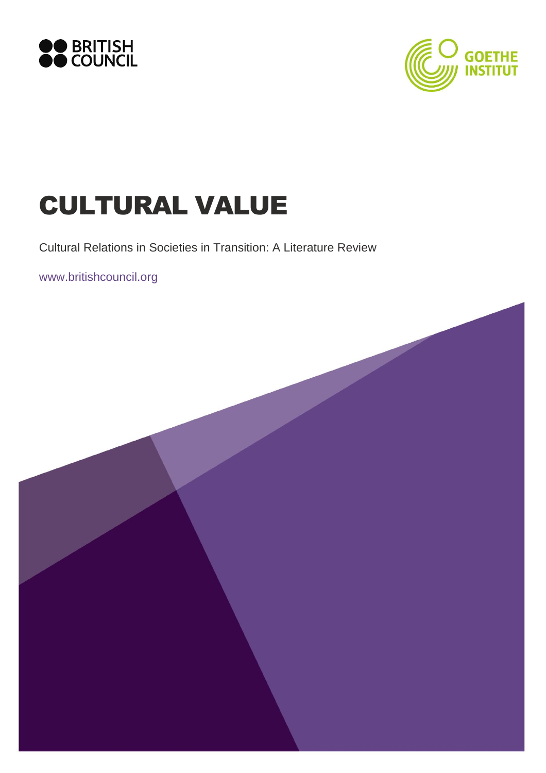



# CULTURAL VALUE

Cultural Relations in Societies in Transition: A Literature Review

www.britishcouncil.org

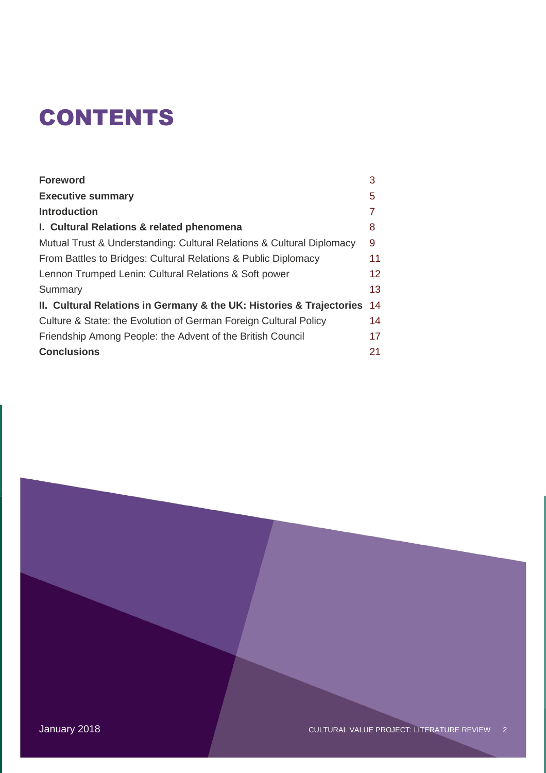# **CONTENTS**

| <b>Foreword</b>                                                       | 3  |
|-----------------------------------------------------------------------|----|
| <b>Executive summary</b>                                              | 5  |
| <b>Introduction</b>                                                   |    |
| I. Cultural Relations & related phenomena                             | 8  |
| Mutual Trust & Understanding: Cultural Relations & Cultural Diplomacy | 9  |
| From Battles to Bridges: Cultural Relations & Public Diplomacy        | 11 |
| Lennon Trumped Lenin: Cultural Relations & Soft power                 | 12 |
| Summary                                                               | 13 |
| II. Cultural Relations in Germany & the UK: Histories & Trajectories  | 14 |
| Culture & State: the Evolution of German Foreign Cultural Policy      | 14 |
| Friendship Among People: the Advent of the British Council            | 17 |
| <b>Conclusions</b>                                                    | 21 |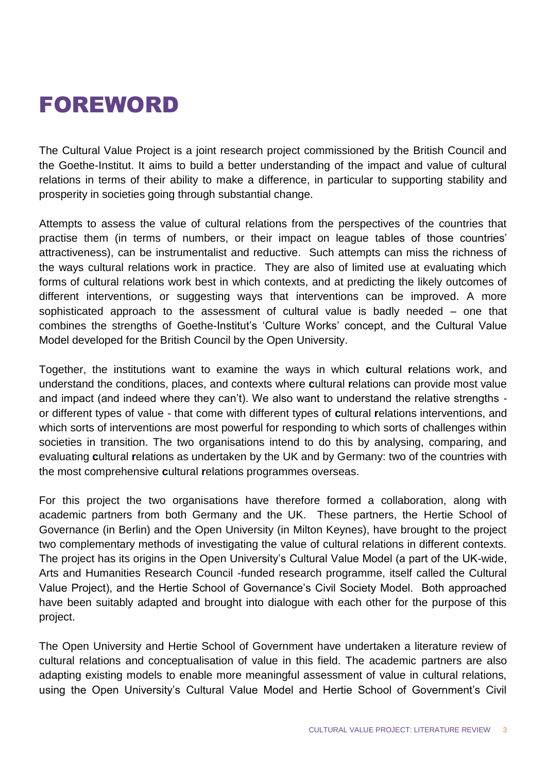## FOREWORD

The Cultural Value Project is a joint research project commissioned by the British Council and the Goethe-Institut. It aims to build a better understanding of the impact and value of cultural relations in terms of their ability to make a difference, in particular to supporting stability and prosperity in societies going through substantial change.

Attempts to assess the value of cultural relations from the perspectives of the countries that practise them (in terms of numbers, or their impact on league tables of those countries' attractiveness), can be instrumentalist and reductive. Such attempts can miss the richness of the ways cultural relations work in practice. They are also of limited use at evaluating which forms of cultural relations work best in which contexts, and at predicting the likely outcomes of different interventions, or suggesting ways that interventions can be improved. A more sophisticated approach to the assessment of cultural value is badly needed – one that combines the strengths of Goethe-Institut's 'Culture Works' concept, and the Cultural Value Model developed for the British Council by the Open University.

Together, the institutions want to examine the ways in which **c**ultural **r**elations work, and understand the conditions, places, and contexts where **c**ultural **r**elations can provide most value and impact (and indeed where they can't). We also want to understand the relative strengths or different types of value - that come with different types of **c**ultural **r**elations interventions, and which sorts of interventions are most powerful for responding to which sorts of challenges within societies in transition. The two organisations intend to do this by analysing, comparing, and evaluating **c**ultural **r**elations as undertaken by the UK and by Germany: two of the countries with the most comprehensive **c**ultural **r**elations programmes overseas.

For this project the two organisations have therefore formed a collaboration, along with academic partners from both Germany and the UK. These partners, the Hertie School of Governance (in Berlin) and the Open University (in Milton Keynes), have brought to the project two complementary methods of investigating the value of cultural relations in different contexts. The project has its origins in the Open University's Cultural Value Model (a part of the UK-wide, Arts and Humanities Research Council -funded research programme, itself called the Cultural Value Project), and the Hertie School of Governance's Civil Society Model. Both approached have been suitably adapted and brought into dialogue with each other for the purpose of this project.

The Open University and Hertie School of Government have undertaken a literature review of cultural relations and conceptualisation of value in this field. The academic partners are also adapting existing models to enable more meaningful assessment of value in cultural relations, using the Open University's Cultural Value Model and Hertie School of Government's Civil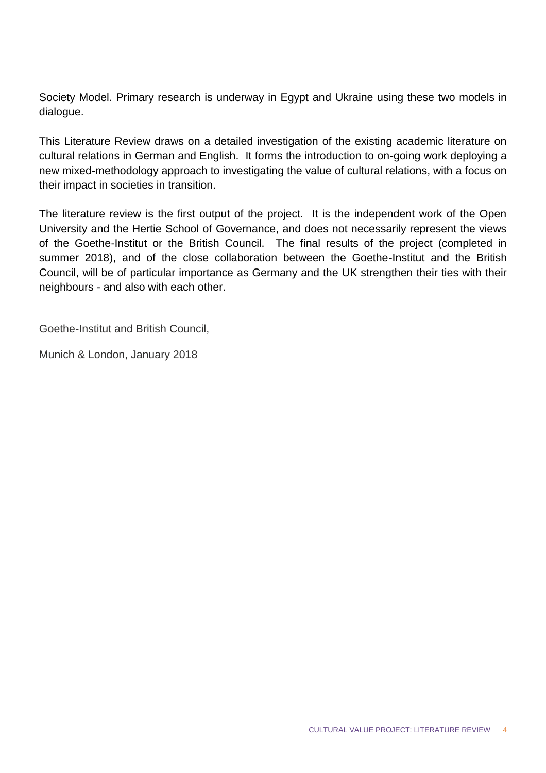Society Model. Primary research is underway in Egypt and Ukraine using these two models in dialogue.

This Literature Review draws on a detailed investigation of the existing academic literature on cultural relations in German and English. It forms the introduction to on-going work deploying a new mixed-methodology approach to investigating the value of cultural relations, with a focus on their impact in societies in transition.

The literature review is the first output of the project. It is the independent work of the Open University and the Hertie School of Governance, and does not necessarily represent the views of the Goethe-Institut or the British Council. The final results of the project (completed in summer 2018), and of the close collaboration between the Goethe-Institut and the British Council, will be of particular importance as Germany and the UK strengthen their ties with their neighbours - and also with each other.

Goethe-Institut and British Council,

Munich & London, January 2018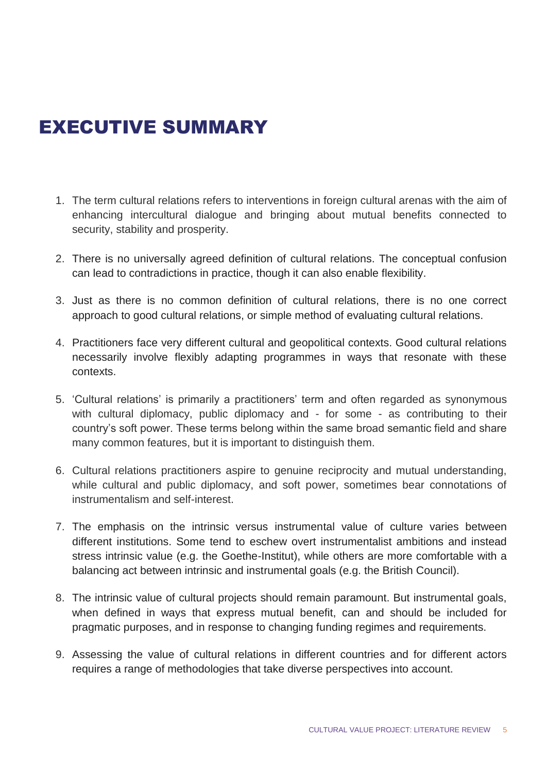## EXECUTIVE SUMMARY

- 1. The term cultural relations refers to interventions in foreign cultural arenas with the aim of enhancing intercultural dialogue and bringing about mutual benefits connected to security, stability and prosperity.
- 2. There is no universally agreed definition of cultural relations. The conceptual confusion can lead to contradictions in practice, though it can also enable flexibility.
- 3. Just as there is no common definition of cultural relations, there is no one correct approach to good cultural relations, or simple method of evaluating cultural relations.
- 4. Practitioners face very different cultural and geopolitical contexts. Good cultural relations necessarily involve flexibly adapting programmes in ways that resonate with these contexts.
- 5. 'Cultural relations' is primarily a practitioners' term and often regarded as synonymous with cultural diplomacy, public diplomacy and - for some - as contributing to their country's soft power. These terms belong within the same broad semantic field and share many common features, but it is important to distinguish them.
- 6. Cultural relations practitioners aspire to genuine reciprocity and mutual understanding, while cultural and public diplomacy, and soft power, sometimes bear connotations of instrumentalism and self-interest.
- 7. The emphasis on the intrinsic versus instrumental value of culture varies between different institutions. Some tend to eschew overt instrumentalist ambitions and instead stress intrinsic value (e.g. the Goethe-Institut), while others are more comfortable with a balancing act between intrinsic and instrumental goals (e.g. the British Council).
- 8. The intrinsic value of cultural projects should remain paramount. But instrumental goals, when defined in ways that express mutual benefit, can and should be included for pragmatic purposes, and in response to changing funding regimes and requirements.
- 9. Assessing the value of cultural relations in different countries and for different actors requires a range of methodologies that take diverse perspectives into account.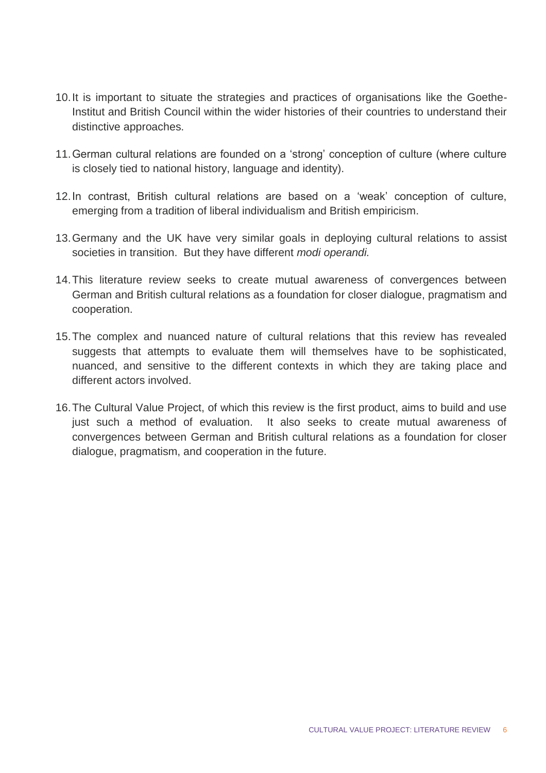- 10.It is important to situate the strategies and practices of organisations like the Goethe-Institut and British Council within the wider histories of their countries to understand their distinctive approaches.
- 11.German cultural relations are founded on a 'strong' conception of culture (where culture is closely tied to national history, language and identity).
- 12.In contrast, British cultural relations are based on a 'weak' conception of culture, emerging from a tradition of liberal individualism and British empiricism.
- 13.Germany and the UK have very similar goals in deploying cultural relations to assist societies in transition. But they have different *modi operandi.*
- 14.This literature review seeks to create mutual awareness of convergences between German and British cultural relations as a foundation for closer dialogue, pragmatism and cooperation.
- 15.The complex and nuanced nature of cultural relations that this review has revealed suggests that attempts to evaluate them will themselves have to be sophisticated, nuanced, and sensitive to the different contexts in which they are taking place and different actors involved.
- 16.The Cultural Value Project, of which this review is the first product, aims to build and use just such a method of evaluation. It also seeks to create mutual awareness of convergences between German and British cultural relations as a foundation for closer dialogue, pragmatism, and cooperation in the future.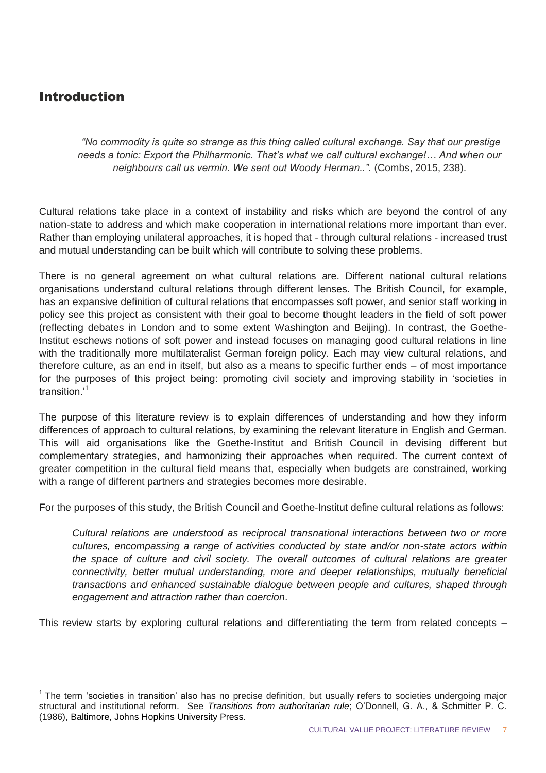## Introduction

 $\overline{a}$ 

*"No commodity is quite so strange as this thing called cultural exchange. Say that our prestige needs a tonic: Export the Philharmonic. That's what we call cultural exchange!… And when our neighbours call us vermin. We sent out Woody Herman.."*. (Combs, 2015, 238).

Cultural relations take place in a context of instability and risks which are beyond the control of any nation-state to address and which make cooperation in international relations more important than ever. Rather than employing unilateral approaches, it is hoped that - through cultural relations - increased trust and mutual understanding can be built which will contribute to solving these problems.

There is no general agreement on what cultural relations are. Different national cultural relations organisations understand cultural relations through different lenses. The British Council, for example, has an expansive definition of cultural relations that encompasses soft power, and senior staff working in policy see this project as consistent with their goal to become thought leaders in the field of soft power (reflecting debates in London and to some extent Washington and Beijing). In contrast, the Goethe-Institut eschews notions of soft power and instead focuses on managing good cultural relations in line with the traditionally more multilateralist German foreign policy. Each may view cultural relations, and therefore culture, as an end in itself, but also as a means to specific further ends – of most importance for the purposes of this project being: promoting civil society and improving stability in 'societies in transition.'<sup>1</sup>

The purpose of this literature review is to explain differences of understanding and how they inform differences of approach to cultural relations, by examining the relevant literature in English and German. This will aid organisations like the Goethe-Institut and British Council in devising different but complementary strategies, and harmonizing their approaches when required. The current context of greater competition in the cultural field means that, especially when budgets are constrained, working with a range of different partners and strategies becomes more desirable.

For the purposes of this study, the British Council and Goethe-Institut define cultural relations as follows:

*Cultural relations are understood as reciprocal transnational interactions between two or more cultures, encompassing a range of activities conducted by state and/or non-state actors within the space of culture and civil society. The overall outcomes of cultural relations are greater connectivity, better mutual understanding, more and deeper relationships, mutually beneficial transactions and enhanced sustainable dialogue between people and cultures, shaped through engagement and attraction rather than coercion*.

This review starts by exploring cultural relations and differentiating the term from related concepts –

<sup>&</sup>lt;sup>1</sup> The term 'societies in transition' also has no precise definition, but usually refers to societies undergoing major structural and institutional reform. See *Transitions from authoritarian rule*; O'Donnell, G. A., & Schmitter P. C. (1986), Baltimore, Johns Hopkins University Press.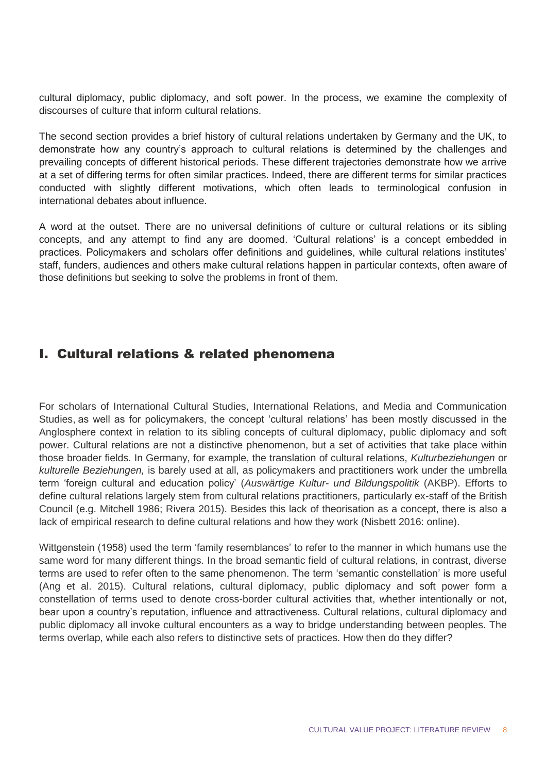cultural diplomacy, public diplomacy, and soft power. In the process, we examine the complexity of discourses of culture that inform cultural relations.

The second section provides a brief history of cultural relations undertaken by Germany and the UK, to demonstrate how any country's approach to cultural relations is determined by the challenges and prevailing concepts of different historical periods. These different trajectories demonstrate how we arrive at a set of differing terms for often similar practices. Indeed, there are different terms for similar practices conducted with slightly different motivations, which often leads to terminological confusion in international debates about influence.

A word at the outset. There are no universal definitions of culture or cultural relations or its sibling concepts, and any attempt to find any are doomed. 'Cultural relations' is a concept embedded in practices. Policymakers and scholars offer definitions and guidelines, while cultural relations institutes' staff, funders, audiences and others make cultural relations happen in particular contexts, often aware of those definitions but seeking to solve the problems in front of them.

## I. Cultural relations & related phenomena

For scholars of International Cultural Studies, International Relations, and Media and Communication Studies, as well as for policymakers, the concept 'cultural relations' has been mostly discussed in the Anglosphere context in relation to its sibling concepts of cultural diplomacy, public diplomacy and soft power. Cultural relations are not a distinctive phenomenon, but a set of activities that take place within those broader fields. In Germany, for example, the translation of cultural relations, *Kulturbeziehungen* or *kulturelle Beziehungen,* is barely used at all, as policymakers and practitioners work under the umbrella term 'foreign cultural and education policy' (*Auswärtige Kultur- und Bildungspolitik* (AKBP). Efforts to define cultural relations largely stem from cultural relations practitioners, particularly ex-staff of the British Council (e.g. Mitchell 1986; Rivera 2015). Besides this lack of theorisation as a concept, there is also a lack of empirical research to define cultural relations and how they work (Nisbett 2016: online).

Wittgenstein (1958) used the term 'family resemblances' to refer to the manner in which humans use the same word for many different things. In the broad semantic field of cultural relations, in contrast, diverse terms are used to refer often to the same phenomenon. The term 'semantic constellation' is more useful (Ang et al. 2015). Cultural relations, cultural diplomacy, public diplomacy and soft power form a constellation of terms used to denote cross-border cultural activities that, whether intentionally or not, bear upon a country's reputation, influence and attractiveness. Cultural relations, cultural diplomacy and public diplomacy all invoke cultural encounters as a way to bridge understanding between peoples. The terms overlap, while each also refers to distinctive sets of practices. How then do they differ?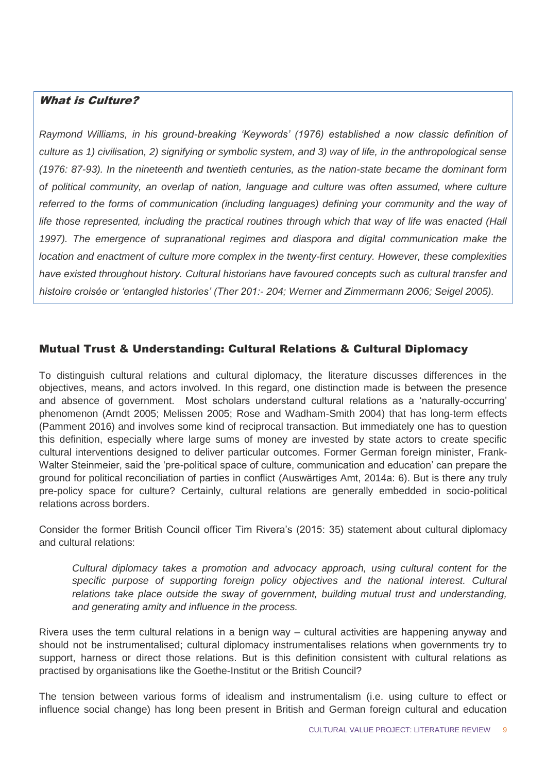#### What is Culture?

*Raymond Williams, in his ground-breaking 'Keywords' (1976) established a now classic definition of culture as 1) civilisation, 2) signifying or symbolic system, and 3) way of life, in the anthropological sense (1976: 87-93). In the nineteenth and twentieth centuries, as the nation-state became the dominant form of political community, an overlap of nation, language and culture was often assumed, where culture referred to the forms of communication (including languages) defining your community and the way of life those represented, including the practical routines through which that way of life was enacted (Hall 1997). The emergence of supranational regimes and diaspora and digital communication make the location and enactment of culture more complex in the twenty-first century. However, these complexities have existed throughout history. Cultural historians have favoured concepts such as cultural transfer and histoire croisée or 'entangled histories' (Ther 201:- 204; Werner and Zimmermann 2006; Seigel 2005).* 

#### Mutual Trust & Understanding: Cultural Relations & Cultural Diplomacy

To distinguish cultural relations and cultural diplomacy, the literature discusses differences in the objectives, means, and actors involved. In this regard, one distinction made is between the presence and absence of government. Most scholars understand cultural relations as a 'naturally-occurring' phenomenon (Arndt 2005; Melissen 2005; Rose and Wadham-Smith 2004) that has long-term effects (Pamment 2016) and involves some kind of reciprocal transaction. But immediately one has to question this definition, especially where large sums of money are invested by state actors to create specific cultural interventions designed to deliver particular outcomes. Former German foreign minister, Frank-Walter Steinmeier, said the 'pre-political space of culture, communication and education' can prepare the ground for political reconciliation of parties in conflict (Auswärtiges Amt, 2014a: 6). But is there any truly pre-policy space for culture? Certainly, cultural relations are generally embedded in socio-political relations across borders.

Consider the former British Council officer Tim Rivera's (2015: 35) statement about cultural diplomacy and cultural relations:

*Cultural diplomacy takes a promotion and advocacy approach, using cultural content for the*  specific purpose of supporting foreign policy objectives and the national interest. Cultural *relations take place outside the sway of government, building mutual trust and understanding, and generating amity and influence in the process.* 

Rivera uses the term cultural relations in a benign way – cultural activities are happening anyway and should not be instrumentalised; cultural diplomacy instrumentalises relations when governments try to support, harness or direct those relations. But is this definition consistent with cultural relations as practised by organisations like the Goethe-Institut or the British Council?

The tension between various forms of idealism and instrumentalism (i.e. using culture to effect or influence social change) has long been present in British and German foreign cultural and education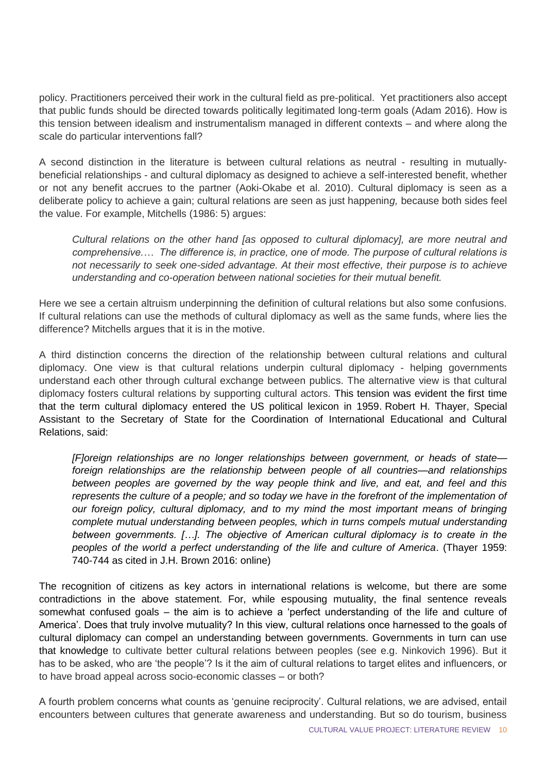policy. Practitioners perceived their work in the cultural field as pre-political. Yet practitioners also accept that public funds should be directed towards politically legitimated long-term goals (Adam 2016). How is this tension between idealism and instrumentalism managed in different contexts – and where along the scale do particular interventions fall?

A second distinction in the literature is between cultural relations as neutral - resulting in mutuallybeneficial relationships - and cultural diplomacy as designed to achieve a self-interested benefit, whether or not any benefit accrues to the partner (Aoki-Okabe et al. 2010). Cultural diplomacy is seen as a deliberate policy to achieve a gain; cultural relations are seen as just happenin*g,* because both sides feel the value. For example, Mitchells (1986: 5) argues:

*Cultural relations on the other hand [as opposed to cultural diplomacy], are more neutral and comprehensive.… The difference is, in practice, one of mode. The purpose of cultural relations is not necessarily to seek one-sided advantage. At their most effective, their purpose is to achieve understanding and co-operation between national societies for their mutual benefit.* 

Here we see a certain altruism underpinning the definition of cultural relations but also some confusions. If cultural relations can use the methods of cultural diplomacy as well as the same funds, where lies the difference? Mitchells argues that it is in the motive.

A third distinction concerns the direction of the relationship between cultural relations and cultural diplomacy. One view is that cultural relations underpin cultural diplomacy - helping governments understand each other through cultural exchange between publics. The alternative view is that cultural diplomacy fosters cultural relations by supporting cultural actors. This tension was evident the first time that the term cultural diplomacy entered the US political lexicon in 1959. Robert H. Thayer, Special Assistant to the Secretary of State for the Coordination of International Educational and Cultural Relations, said:

*[F]oreign relationships are no longer relationships between government, or heads of state foreign relationships are the relationship between people of all countries—and relationships between peoples are governed by the way people think and live, and eat, and feel and this represents the culture of a people; and so today we have in the forefront of the implementation of our foreign policy, cultural diplomacy, and to my mind the most important means of bringing complete mutual understanding between peoples, which in turns compels mutual understanding between governments. […]. The objective of American cultural diplomacy is to create in the peoples of the world a perfect understanding of the life and culture of America*. (Thayer 1959: 740-744 as cited in J.H. Brown 2016: online)

The recognition of citizens as key actors in international relations is welcome, but there are some contradictions in the above statement. For, while espousing mutuality, the final sentence reveals somewhat confused goals – the aim is to achieve a 'perfect understanding of the life and culture of America'. Does that truly involve mutuality? In this view, cultural relations once harnessed to the goals of cultural diplomacy can compel an understanding between governments. Governments in turn can use that knowledge to cultivate better cultural relations between peoples (see e.g. Ninkovich 1996). But it has to be asked, who are 'the people'? Is it the aim of cultural relations to target elites and influencers, or to have broad appeal across socio-economic classes – or both?

A fourth problem concerns what counts as 'genuine reciprocity'. Cultural relations, we are advised, entail encounters between cultures that generate awareness and understanding. But so do tourism, business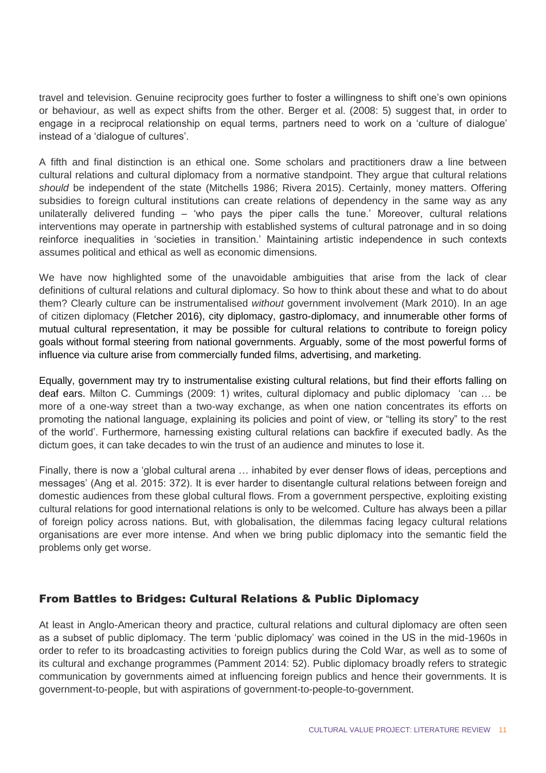travel and television. Genuine reciprocity goes further to foster a willingness to shift one's own opinions or behaviour, as well as expect shifts from the other. Berger et al. (2008: 5) suggest that, in order to engage in a reciprocal relationship on equal terms, partners need to work on a 'culture of dialogue' instead of a 'dialogue of cultures'.

A fifth and final distinction is an ethical one. Some scholars and practitioners draw a line between cultural relations and cultural diplomacy from a normative standpoint. They argue that cultural relations *should* be independent of the state (Mitchells 1986; Rivera 2015). Certainly, money matters. Offering subsidies to foreign cultural institutions can create relations of dependency in the same way as any unilaterally delivered funding – 'who pays the piper calls the tune.' Moreover, cultural relations interventions may operate in partnership with established systems of cultural patronage and in so doing reinforce inequalities in 'societies in transition.' Maintaining artistic independence in such contexts assumes political and ethical as well as economic dimensions.

We have now highlighted some of the unavoidable ambiguities that arise from the lack of clear definitions of cultural relations and cultural diplomacy. So how to think about these and what to do about them? Clearly culture can be instrumentalised *without* government involvement (Mark 2010). In an age of citizen diplomacy (Fletcher 2016), city diplomacy, gastro-diplomacy, and innumerable other forms of mutual cultural representation, it may be possible for cultural relations to contribute to foreign policy goals without formal steering from national governments. Arguably, some of the most powerful forms of influence via culture arise from commercially funded films, advertising, and marketing.

Equally, government may try to instrumentalise existing cultural relations, but find their efforts falling on deaf ears. Milton C. Cummings (2009: 1) writes, cultural diplomacy and public diplomacy 'can … be more of a one-way street than a two-way exchange, as when one nation concentrates its efforts on promoting the national language, explaining its policies and point of view, or "telling its story" to the rest of the world'. Furthermore, harnessing existing cultural relations can backfire if executed badly. As the dictum goes, it can take decades to win the trust of an audience and minutes to lose it.

Finally, there is now a 'global cultural arena … inhabited by ever denser flows of ideas, perceptions and messages' (Ang et al. 2015: 372). It is ever harder to disentangle cultural relations between foreign and domestic audiences from these global cultural flows. From a government perspective, exploiting existing cultural relations for good international relations is only to be welcomed. Culture has always been a pillar of foreign policy across nations. But, with globalisation, the dilemmas facing legacy cultural relations organisations are ever more intense. And when we bring public diplomacy into the semantic field the problems only get worse.

#### From Battles to Bridges: Cultural Relations & Public Diplomacy

At least in Anglo-American theory and practice, cultural relations and cultural diplomacy are often seen as a subset of public diplomacy. The term 'public diplomacy' was coined in the US in the mid-1960s in order to refer to its broadcasting activities to foreign publics during the Cold War, as well as to some of its cultural and exchange programmes (Pamment 2014: 52). Public diplomacy broadly refers to strategic communication by governments aimed at influencing foreign publics and hence their governments. It is government-to-people, but with aspirations of government-to-people-to-government.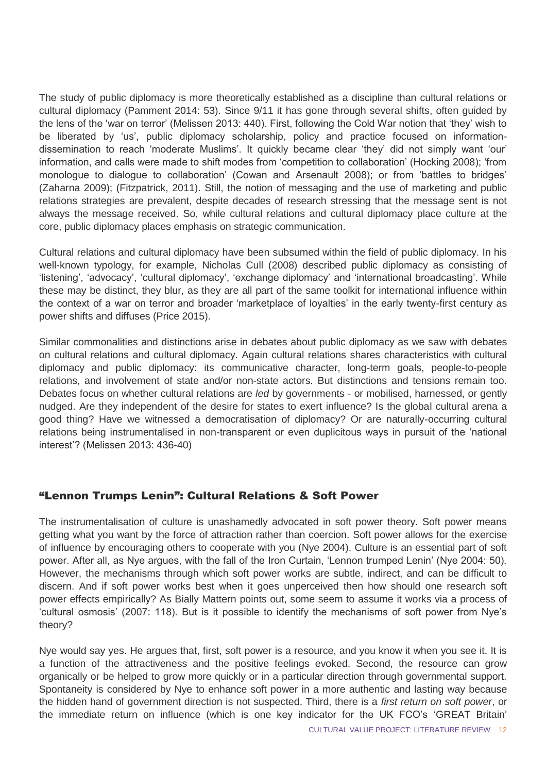The study of public diplomacy is more theoretically established as a discipline than cultural relations or cultural diplomacy (Pamment 2014: 53). Since 9/11 it has gone through several shifts, often guided by the lens of the 'war on terror' (Melissen 2013: 440). First, following the Cold War notion that 'they' wish to be liberated by 'us', public diplomacy scholarship, policy and practice focused on informationdissemination to reach 'moderate Muslims'. It quickly became clear 'they' did not simply want 'our' information, and calls were made to shift modes from 'competition to collaboration' (Hocking 2008); 'from monologue to dialogue to collaboration' (Cowan and Arsenault 2008); or from 'battles to bridges' (Zaharna 2009); (Fitzpatrick, 2011). Still, the notion of messaging and the use of marketing and public relations strategies are prevalent, despite decades of research stressing that the message sent is not always the message received. So, while cultural relations and cultural diplomacy place culture at the core, public diplomacy places emphasis on strategic communication.

Cultural relations and cultural diplomacy have been subsumed within the field of public diplomacy. In his well-known typology, for example, Nicholas Cull (2008) described public diplomacy as consisting of 'listening', 'advocacy', 'cultural diplomacy', 'exchange diplomacy' and 'international broadcasting'. While these may be distinct, they blur, as they are all part of the same toolkit for international influence within the context of a war on terror and broader 'marketplace of loyalties' in the early twenty-first century as power shifts and diffuses (Price 2015).

Similar commonalities and distinctions arise in debates about public diplomacy as we saw with debates on cultural relations and cultural diplomacy. Again cultural relations shares characteristics with cultural diplomacy and public diplomacy: its communicative character, long-term goals, people-to-people relations, and involvement of state and/or non-state actors. But distinctions and tensions remain too. Debates focus on whether cultural relations are *led* by governments - or mobilised, harnessed, or gently nudged. Are they independent of the desire for states to exert influence? Is the global cultural arena a good thing? Have we witnessed a democratisation of diplomacy? Or are naturally-occurring cultural relations being instrumentalised in non-transparent or even duplicitous ways in pursuit of the 'national interest'? (Melissen 2013: 436-40)

#### "Lennon Trumps Lenin": Cultural Relations & Soft Power

The instrumentalisation of culture is unashamedly advocated in soft power theory. Soft power means getting what you want by the force of attraction rather than coercion. Soft power allows for the exercise of influence by encouraging others to cooperate with you (Nye 2004). Culture is an essential part of soft power. After all, as Nye argues, with the fall of the Iron Curtain, 'Lennon trumped Lenin' (Nye 2004: 50). However, the mechanisms through which soft power works are subtle, indirect, and can be difficult to discern. And if soft power works best when it goes unperceived then how should one research soft power effects empirically? As Bially Mattern points out, some seem to assume it works via a process of 'cultural osmosis' (2007: 118). But is it possible to identify the mechanisms of soft power from Nye's theory?

Nye would say yes. He argues that, first, soft power is a resource, and you know it when you see it. It is a function of the attractiveness and the positive feelings evoked. Second, the resource can grow organically or be helped to grow more quickly or in a particular direction through governmental support. Spontaneity is considered by Nye to enhance soft power in a more authentic and lasting way because the hidden hand of government direction is not suspected. Third, there is a *first return on soft power*, or the immediate return on influence (which is one key indicator for the UK FCO's 'GREAT Britain'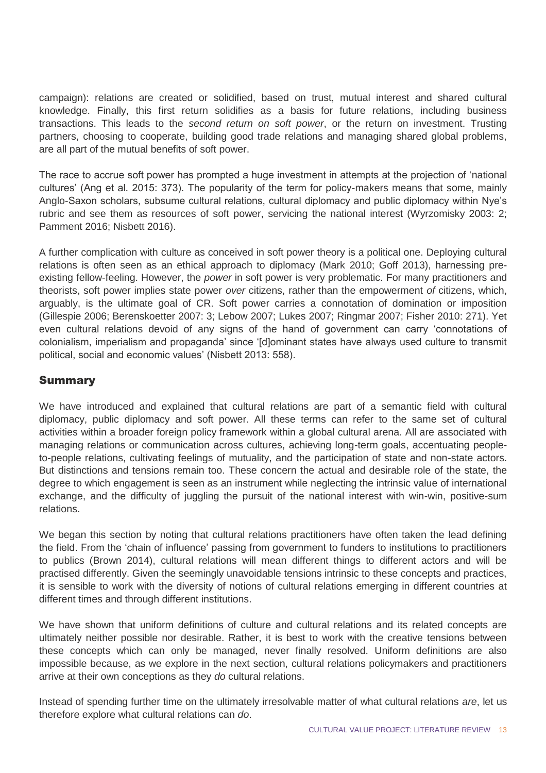campaign): relations are created or solidified, based on trust, mutual interest and shared cultural knowledge. Finally, this first return solidifies as a basis for future relations, including business transactions. This leads to the *second return on soft power*, or the return on investment. Trusting partners, choosing to cooperate, building good trade relations and managing shared global problems, are all part of the mutual benefits of soft power.

The race to accrue soft power has prompted a huge investment in attempts at the projection of 'national cultures' (Ang et al. 2015: 373). The popularity of the term for policy-makers means that some, mainly Anglo-Saxon scholars, subsume cultural relations, cultural diplomacy and public diplomacy within Nye's rubric and see them as resources of soft power, servicing the national interest (Wyrzomisky 2003: 2; Pamment 2016; Nisbett 2016).

A further complication with culture as conceived in soft power theory is a political one. Deploying cultural relations is often seen as an ethical approach to diplomacy (Mark 2010; Goff 2013), harnessing preexisting fellow-feeling. However, the *power* in soft power is very problematic. For many practitioners and theorists, soft power implies state power *over* citizens, rather than the empowerment *of* citizens, which, arguably, is the ultimate goal of CR. Soft power carries a connotation of domination or imposition (Gillespie 2006; Berenskoetter 2007: 3; Lebow 2007; Lukes 2007; Ringmar 2007; Fisher 2010: 271). Yet even cultural relations devoid of any signs of the hand of government can carry 'connotations of colonialism, imperialism and propaganda' since '[d]ominant states have always used culture to transmit political, social and economic values' (Nisbett 2013: 558).

#### Summary

We have introduced and explained that cultural relations are part of a semantic field with cultural diplomacy, public diplomacy and soft power. All these terms can refer to the same set of cultural activities within a broader foreign policy framework within a global cultural arena. All are associated with managing relations or communication across cultures, achieving long-term goals, accentuating peopleto-people relations, cultivating feelings of mutuality, and the participation of state and non-state actors. But distinctions and tensions remain too. These concern the actual and desirable role of the state, the degree to which engagement is seen as an instrument while neglecting the intrinsic value of international exchange, and the difficulty of juggling the pursuit of the national interest with win-win, positive-sum relations.

We began this section by noting that cultural relations practitioners have often taken the lead defining the field. From the 'chain of influence' passing from government to funders to institutions to practitioners to publics (Brown 2014), cultural relations will mean different things to different actors and will be practised differently. Given the seemingly unavoidable tensions intrinsic to these concepts and practices, it is sensible to work with the diversity of notions of cultural relations emerging in different countries at different times and through different institutions.

We have shown that uniform definitions of culture and cultural relations and its related concepts are ultimately neither possible nor desirable. Rather, it is best to work with the creative tensions between these concepts which can only be managed, never finally resolved. Uniform definitions are also impossible because, as we explore in the next section, cultural relations policymakers and practitioners arrive at their own conceptions as they *do* cultural relations.

Instead of spending further time on the ultimately irresolvable matter of what cultural relations *are*, let us therefore explore what cultural relations can *do*.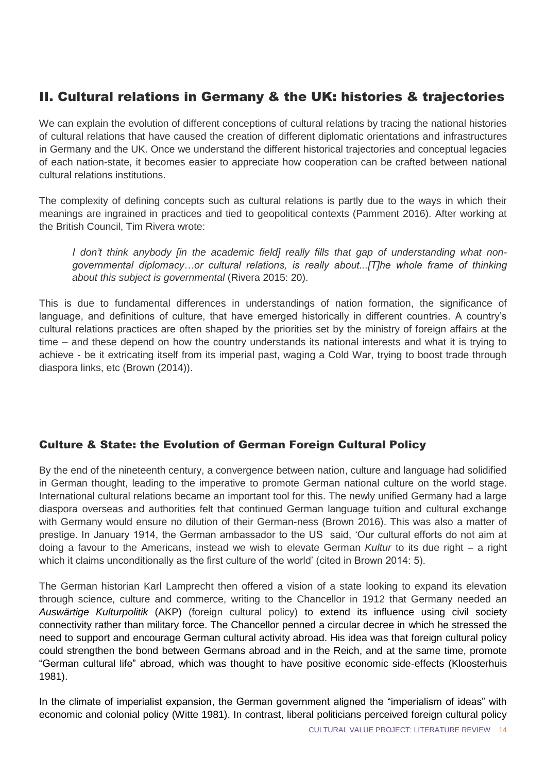## II. Cultural relations in Germany & the UK: histories & trajectories

We can explain the evolution of different conceptions of cultural relations by tracing the national histories of cultural relations that have caused the creation of different diplomatic orientations and infrastructures in Germany and the UK. Once we understand the different historical trajectories and conceptual legacies of each nation-state, it becomes easier to appreciate how cooperation can be crafted between national cultural relations institutions.

The complexity of defining concepts such as cultural relations is partly due to the ways in which their meanings are ingrained in practices and tied to geopolitical contexts (Pamment 2016). After working at the British Council, Tim Rivera wrote:

*I don't think anybody [in the academic field] really fills that gap of understanding what nongovernmental diplomacy…or cultural relations, is really about...[T]he whole frame of thinking about this subject is governmental* (Rivera 2015: 20).

This is due to fundamental differences in understandings of nation formation, the significance of language, and definitions of culture, that have emerged historically in different countries. A country's cultural relations practices are often shaped by the priorities set by the ministry of foreign affairs at the time – and these depend on how the country understands its national interests and what it is trying to achieve - be it extricating itself from its imperial past, waging a Cold War, trying to boost trade through diaspora links, etc (Brown (2014)).

#### Culture & State: the Evolution of German Foreign Cultural Policy

By the end of the nineteenth century, a convergence between nation, culture and language had solidified in German thought, leading to the imperative to promote German national culture on the world stage. International cultural relations became an important tool for this. The newly unified Germany had a large diaspora overseas and authorities felt that continued German language tuition and cultural exchange with Germany would ensure no dilution of their German-ness (Brown 2016). This was also a matter of prestige. In January 1914, the German ambassador to the US said, 'Our cultural efforts do not aim at doing a favour to the Americans, instead we wish to elevate German *Kultur* to its due right – a right which it claims unconditionally as the first culture of the world' (cited in Brown 2014: 5).

The German historian Karl Lamprecht then offered a vision of a state looking to expand its elevation through science, culture and commerce, writing to the Chancellor in 1912 that Germany needed an *Auswärtige Kulturpolitik* (AKP) (foreign cultural policy) to extend its influence using civil society connectivity rather than military force. The Chancellor penned a circular decree in which he stressed the need to support and encourage German cultural activity abroad. His idea was that foreign cultural policy could strengthen the bond between Germans abroad and in the Reich, and at the same time, promote "German cultural life" abroad, which was thought to have positive economic side-effects (Kloosterhuis 1981).

In the climate of imperialist expansion, the German government aligned the "imperialism of ideas" with economic and colonial policy (Witte 1981). In contrast, liberal politicians perceived foreign cultural policy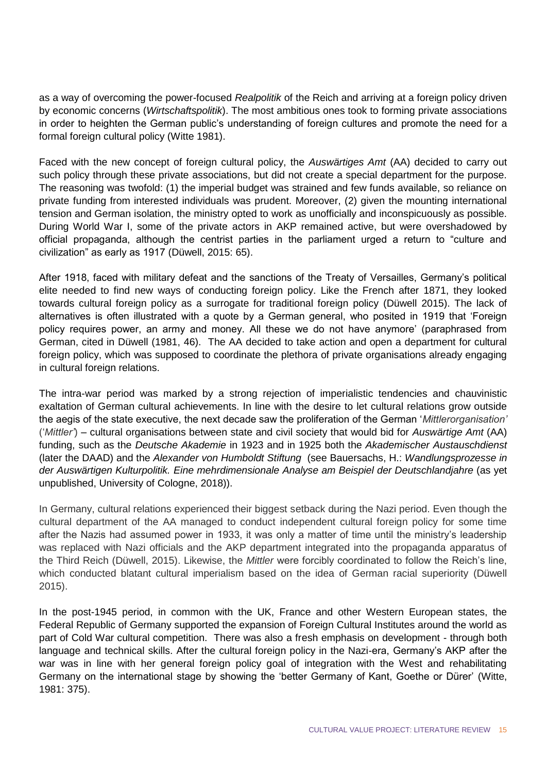as a way of overcoming the power-focused *Realpolitik* of the Reich and arriving at a foreign policy driven by economic concerns (*Wirtschaftspolitik*). The most ambitious ones took to forming private associations in order to heighten the German public's understanding of foreign cultures and promote the need for a formal foreign cultural policy (Witte 1981).

Faced with the new concept of foreign cultural policy, the *Auswärtiges Amt* (AA) decided to carry out such policy through these private associations, but did not create a special department for the purpose. The reasoning was twofold: (1) the imperial budget was strained and few funds available, so reliance on private funding from interested individuals was prudent. Moreover, (2) given the mounting international tension and German isolation, the ministry opted to work as unofficially and inconspicuously as possible. During World War I, some of the private actors in AKP remained active, but were overshadowed by official propaganda, although the centrist parties in the parliament urged a return to "culture and civilization" as early as 1917 (Düwell, 2015: 65).

After 1918, faced with military defeat and the sanctions of the Treaty of Versailles, Germany's political elite needed to find new ways of conducting foreign policy. Like the French after 1871, they looked towards cultural foreign policy as a surrogate for traditional foreign policy (Düwell 2015). The lack of alternatives is often illustrated with a quote by a German general, who posited in 1919 that 'Foreign policy requires power, an army and money. All these we do not have anymore' (paraphrased from German, cited in Düwell (1981, 46). The AA decided to take action and open a department for cultural foreign policy, which was supposed to coordinate the plethora of private organisations already engaging in cultural foreign relations.

The intra-war period was marked by a strong rejection of imperialistic tendencies and chauvinistic exaltation of German cultural achievements. In line with the desire to let cultural relations grow outside the aegis of the state executive, the next decade saw the proliferation of the German '*Mittlerorganisation'* ('*Mittler'*) – cultural organisations between state and civil society that would bid for *Auswärtige Amt* (AA) funding, such as the *Deutsche Akademie* in 1923 and in 1925 both the *Akademischer Austauschdienst* (later the DAAD) and the *Alexander von Humboldt Stiftung* (see Bauersachs, H.: *Wandlungsprozesse in der Auswärtigen Kulturpolitik. Eine mehrdimensionale Analyse am Beispiel der Deutschlandjahre* (as yet unpublished, University of Cologne, 2018)).

In Germany, cultural relations experienced their biggest setback during the Nazi period. Even though the cultural department of the AA managed to conduct independent cultural foreign policy for some time after the Nazis had assumed power in 1933, it was only a matter of time until the ministry's leadership was replaced with Nazi officials and the AKP department integrated into the propaganda apparatus of the Third Reich (Düwell, 2015). Likewise, the *Mittler* were forcibly coordinated to follow the Reich's line, which conducted blatant cultural imperialism based on the idea of German racial superiority (Düwell 2015).

In the post-1945 period, in common with the UK, France and other Western European states, the Federal Republic of Germany supported the expansion of Foreign Cultural Institutes around the world as part of Cold War cultural competition. There was also a fresh emphasis on development - through both language and technical skills. After the cultural foreign policy in the Nazi-era, Germany's AKP after the war was in line with her general foreign policy goal of integration with the West and rehabilitating Germany on the international stage by showing the 'better Germany of Kant, Goethe or Dürer' (Witte, 1981: 375).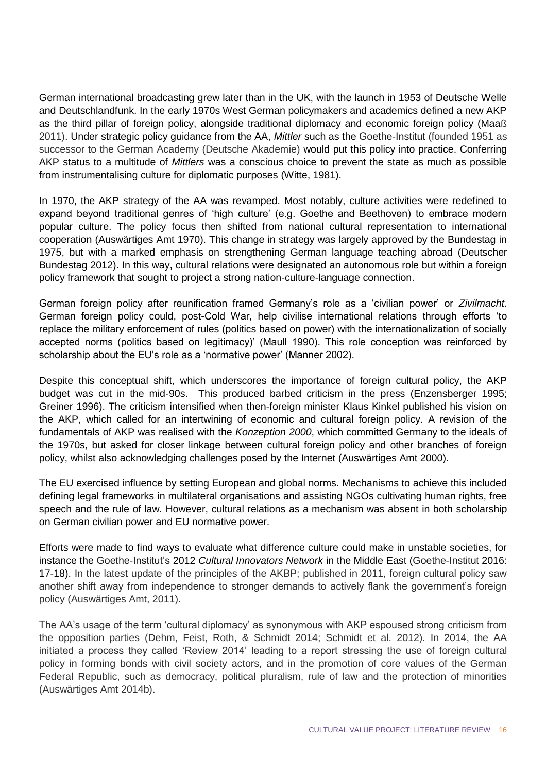German international broadcasting grew later than in the UK, with the launch in 1953 of Deutsche Welle and Deutschlandfunk. In the early 1970s West German policymakers and academics defined a new AKP as the third pillar of foreign policy, alongside traditional diplomacy and economic foreign policy (Maaß 2011). Under strategic policy guidance from the AA, *Mittler* such as the Goethe-Institut (founded 1951 as successor to the German Academy (Deutsche Akademie) would put this policy into practice. Conferring AKP status to a multitude of *Mittlers* was a conscious choice to prevent the state as much as possible from instrumentalising culture for diplomatic purposes (Witte, 1981).

In 1970, the AKP strategy of the AA was revamped. Most notably, culture activities were redefined to expand beyond traditional genres of 'high culture' (e.g. Goethe and Beethoven) to embrace modern popular culture. The policy focus then shifted from national cultural representation to international cooperation (Auswärtiges Amt 1970). This change in strategy was largely approved by the Bundestag in 1975, but with a marked emphasis on strengthening German language teaching abroad (Deutscher Bundestag 2012). In this way, cultural relations were designated an autonomous role but within a foreign policy framework that sought to project a strong nation-culture-language connection.

German foreign policy after reunification framed Germany's role as a 'civilian power' or *Zivilmacht*. German foreign policy could, post-Cold War, help civilise international relations through efforts 'to replace the military enforcement of rules (politics based on power) with the internationalization of socially accepted norms (politics based on legitimacy)' (Maull 1990). This role conception was reinforced by scholarship about the EU's role as a 'normative power' (Manner 2002).

Despite this conceptual shift, which underscores the importance of foreign cultural policy, the AKP budget was cut in the mid-90s. This produced barbed criticism in the press (Enzensberger 1995; Greiner 1996). The criticism intensified when then-foreign minister Klaus Kinkel published his vision on the AKP, which called for an intertwining of economic and cultural foreign policy. A revision of the fundamentals of AKP was realised with the *Konzeption 2000*, which committed Germany to the ideals of the 1970s, but asked for closer linkage between cultural foreign policy and other branches of foreign policy, whilst also acknowledging challenges posed by the Internet (Auswärtiges Amt 2000).

The EU exercised influence by setting European and global norms. Mechanisms to achieve this included defining legal frameworks in multilateral organisations and assisting NGOs cultivating human rights, free speech and the rule of law. However, cultural relations as a mechanism was absent in both scholarship on German civilian power and EU normative power.

Efforts were made to find ways to evaluate what difference culture could make in unstable societies, for instance the Goethe-Institut's 2012 *Cultural Innovators Network* in the Middle East (Goethe-Institut 2016: 17-18). In the latest update of the principles of the AKBP; published in 2011, foreign cultural policy saw another shift away from independence to stronger demands to actively flank the government's foreign policy (Auswärtiges Amt, 2011).

The AA's usage of the term 'cultural diplomacy' as synonymous with AKP espoused strong criticism from the opposition parties (Dehm, Feist, Roth, & Schmidt 2014; Schmidt et al. 2012). In 2014, the AA initiated a process they called 'Review 2014' leading to a report stressing the use of foreign cultural policy in forming bonds with civil society actors, and in the promotion of core values of the German Federal Republic, such as democracy, political pluralism, rule of law and the protection of minorities (Auswärtiges Amt 2014b).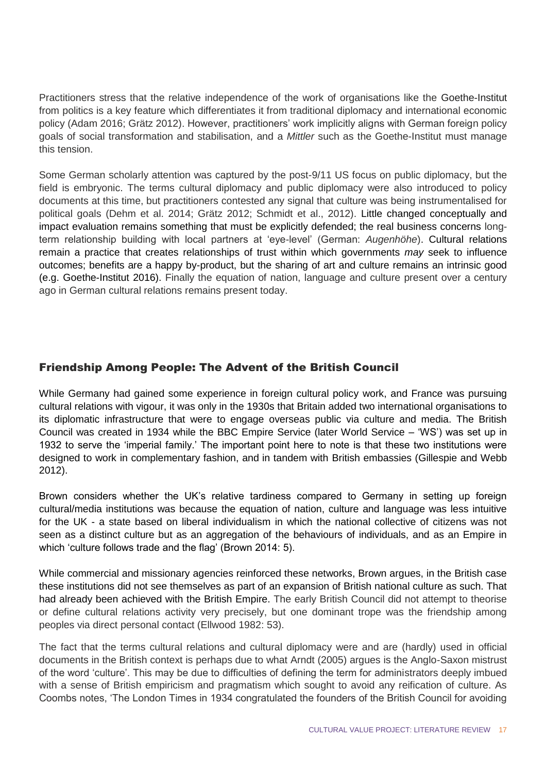Practitioners stress that the relative independence of the work of organisations like the Goethe-Institut from politics is a key feature which differentiates it from traditional diplomacy and international economic policy (Adam 2016; Grätz 2012). However, practitioners' work implicitly aligns with German foreign policy goals of social transformation and stabilisation, and a *Mittler* such as the Goethe-Institut must manage this tension.

Some German scholarly attention was captured by the post-9/11 US focus on public diplomacy, but the field is embryonic. The terms cultural diplomacy and public diplomacy were also introduced to policy documents at this time, but practitioners contested any signal that culture was being instrumentalised for political goals (Dehm et al. 2014; Grätz 2012; Schmidt et al., 2012). Little changed conceptually and impact evaluation remains something that must be explicitly defended; the real business concerns longterm relationship building with local partners at 'eye-level' (German: *Augenhöhe*). Cultural relations remain a practice that creates relationships of trust within which governments *may* seek to influence outcomes; benefits are a happy by-product, but the sharing of art and culture remains an intrinsic good (e.g. Goethe-Institut 2016). Finally the equation of nation, language and culture present over a century ago in German cultural relations remains present today.

#### Friendship Among People: The Advent of the British Council

While Germany had gained some experience in foreign cultural policy work, and France was pursuing cultural relations with vigour, it was only in the 1930s that Britain added two international organisations to its diplomatic infrastructure that were to engage overseas public via culture and media. The British Council was created in 1934 while the BBC Empire Service (later World Service – 'WS') was set up in 1932 to serve the 'imperial family.' The important point here to note is that these two institutions were designed to work in complementary fashion, and in tandem with British embassies (Gillespie and Webb 2012).

Brown considers whether the UK's relative tardiness compared to Germany in setting up foreign cultural/media institutions was because the equation of nation, culture and language was less intuitive for the UK - a state based on liberal individualism in which the national collective of citizens was not seen as a distinct culture but as an aggregation of the behaviours of individuals, and as an Empire in which 'culture follows trade and the flag' (Brown 2014: 5).

While commercial and missionary agencies reinforced these networks, Brown argues, in the British case these institutions did not see themselves as part of an expansion of British national culture as such. That had already been achieved with the British Empire. The early British Council did not attempt to theorise or define cultural relations activity very precisely, but one dominant trope was the friendship among peoples via direct personal contact (Ellwood 1982: 53).

The fact that the terms cultural relations and cultural diplomacy were and are (hardly) used in official documents in the British context is perhaps due to what Arndt (2005) argues is the Anglo-Saxon mistrust of the word 'culture'. This may be due to difficulties of defining the term for administrators deeply imbued with a sense of British empiricism and pragmatism which sought to avoid any reification of culture. As Coombs notes, 'The London Times in 1934 congratulated the founders of the British Council for avoiding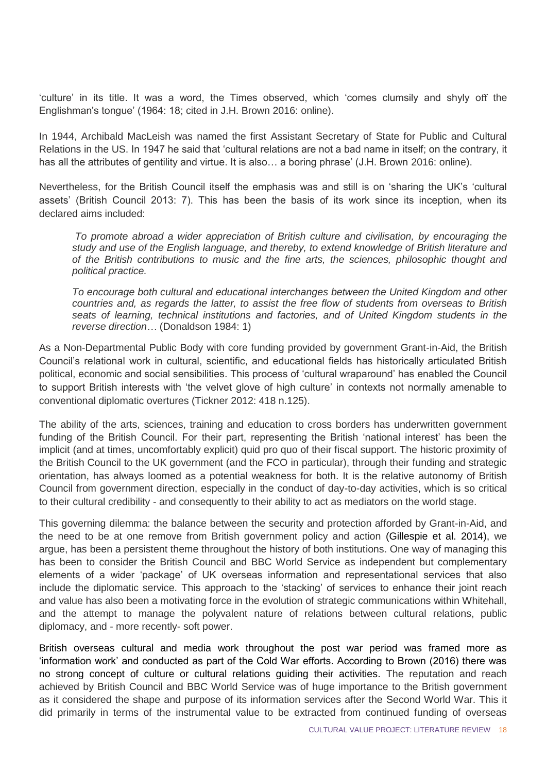'culture' in its title. It was a word, the Times observed, which 'comes clumsily and shyly off the Englishman's tongue' (1964: 18; cited in J.H. Brown 2016: online).

In 1944, Archibald MacLeish was named the first Assistant Secretary of State for Public and Cultural Relations in the US. In 1947 he said that 'cultural relations are not a bad name in itself; on the contrary, it has all the attributes of gentility and virtue. It is also... a boring phrase' (J.H. Brown 2016: online).

Nevertheless, for the British Council itself the emphasis was and still is on 'sharing the UK's 'cultural assets' (British Council 2013: 7). This has been the basis of its work since its inception, when its declared aims included:

*To promote abroad a wider appreciation of British culture and civilisation, by encouraging the study and use of the English language, and thereby, to extend knowledge of British literature and of the British contributions to music and the fine arts, the sciences, philosophic thought and political practice.*

*To encourage both cultural and educational interchanges between the United Kingdom and other countries and, as regards the latter, to assist the free flow of students from overseas to British seats of learning, technical institutions and factories, and of United Kingdom students in the reverse direction…* (Donaldson 1984: 1)

As a Non-Departmental Public Body with core funding provided by government Grant-in-Aid, the British Council's relational work in cultural, scientific, and educational fields has historically articulated British political, economic and social sensibilities. This process of 'cultural wraparound' has enabled the Council to support British interests with 'the velvet glove of high culture' in contexts not normally amenable to conventional diplomatic overtures (Tickner 2012: 418 n.125).

The ability of the arts, sciences, training and education to cross borders has underwritten government funding of the British Council. For their part, representing the British 'national interest' has been the implicit (and at times, uncomfortably explicit) quid pro quo of their fiscal support. The historic proximity of the British Council to the UK government (and the FCO in particular), through their funding and strategic orientation, has always loomed as a potential weakness for both. It is the relative autonomy of British Council from government direction, especially in the conduct of day-to-day activities, which is so critical to their cultural credibility - and consequently to their ability to act as mediators on the world stage.

This governing dilemma: the balance between the security and protection afforded by Grant-in-Aid, and the need to be at one remove from British government policy and action (Gillespie et al. 2014), we argue, has been a persistent theme throughout the history of both institutions. One way of managing this has been to consider the British Council and BBC World Service as independent but complementary elements of a wider 'package' of UK overseas information and representational services that also include the diplomatic service. This approach to the 'stacking' of services to enhance their joint reach and value has also been a motivating force in the evolution of strategic communications within Whitehall, and the attempt to manage the polyvalent nature of relations between cultural relations, public diplomacy, and - more recently- soft power.

British overseas cultural and media work throughout the post war period was framed more as 'information work' and conducted as part of the Cold War efforts. According to Brown (2016) there was no strong concept of culture or cultural relations guiding their activities. The reputation and reach achieved by British Council and BBC World Service was of huge importance to the British government as it considered the shape and purpose of its information services after the Second World War. This it did primarily in terms of the instrumental value to be extracted from continued funding of overseas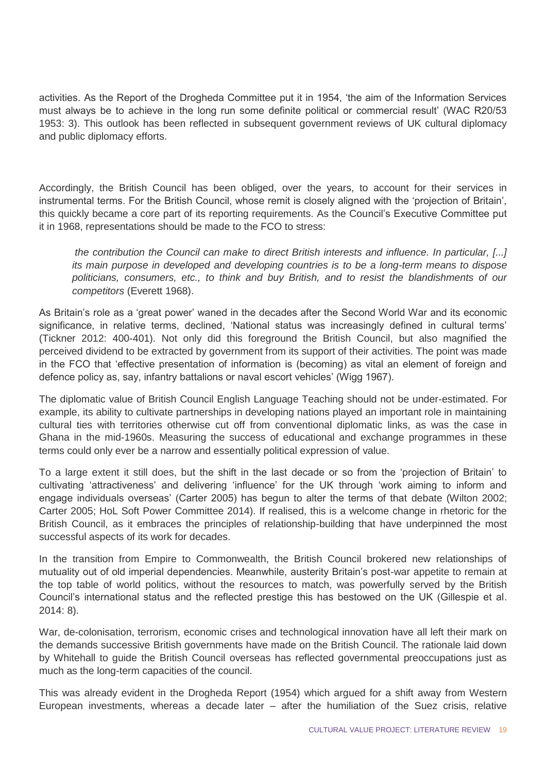activities. As the Report of the Drogheda Committee put it in 1954, 'the aim of the Information Services must always be to achieve in the long run some definite political or commercial result' (WAC R20/53 1953: 3). This outlook has been reflected in subsequent government reviews of UK cultural diplomacy and public diplomacy efforts.

Accordingly, the British Council has been obliged, over the years, to account for their services in instrumental terms. For the British Council, whose remit is closely aligned with the 'projection of Britain', this quickly became a core part of its reporting requirements. As the Council's Executive Committee put it in 1968, representations should be made to the FCO to stress:

*the contribution the Council can make to direct British interests and influence. In particular, [...] its main purpose in developed and developing countries is to be a long-term means to dispose politicians, consumers, etc., to think and buy British, and to resist the blandishments of our competitors* (Everett 1968).

As Britain's role as a 'great power' waned in the decades after the Second World War and its economic significance, in relative terms, declined, 'National status was increasingly defined in cultural terms' (Tickner 2012: 400-401). Not only did this foreground the British Council, but also magnified the perceived dividend to be extracted by government from its support of their activities. The point was made in the FCO that 'effective presentation of information is (becoming) as vital an element of foreign and defence policy as, say, infantry battalions or naval escort vehicles' (Wigg 1967).

The diplomatic value of British Council English Language Teaching should not be under-estimated. For example, its ability to cultivate partnerships in developing nations played an important role in maintaining cultural ties with territories otherwise cut off from conventional diplomatic links, as was the case in Ghana in the mid-1960s. Measuring the success of educational and exchange programmes in these terms could only ever be a narrow and essentially political expression of value.

To a large extent it still does, but the shift in the last decade or so from the 'projection of Britain' to cultivating 'attractiveness' and delivering 'influence' for the UK through 'work aiming to inform and engage individuals overseas' (Carter 2005) has begun to alter the terms of that debate (Wilton 2002; Carter 2005; HoL Soft Power Committee 2014). If realised, this is a welcome change in rhetoric for the British Council, as it embraces the principles of relationship-building that have underpinned the most successful aspects of its work for decades.

In the transition from Empire to Commonwealth, the British Council brokered new relationships of mutuality out of old imperial dependencies. Meanwhile, austerity Britain's post-war appetite to remain at the top table of world politics, without the resources to match, was powerfully served by the British Council's international status and the reflected prestige this has bestowed on the UK (Gillespie et al. 2014: 8).

War, de-colonisation, terrorism, economic crises and technological innovation have all left their mark on the demands successive British governments have made on the British Council. The rationale laid down by Whitehall to guide the British Council overseas has reflected governmental preoccupations just as much as the long-term capacities of the council.

This was already evident in the Drogheda Report (1954) which argued for a shift away from Western European investments, whereas a decade later – after the humiliation of the Suez crisis, relative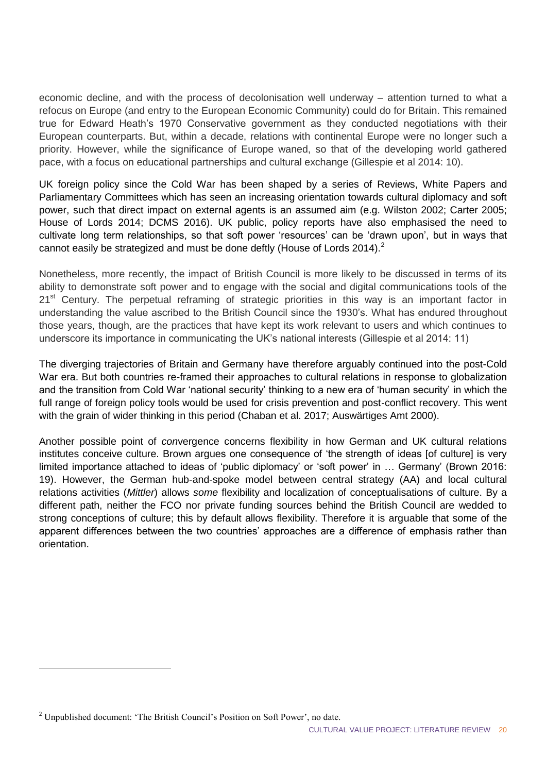economic decline, and with the process of decolonisation well underway – attention turned to what a refocus on Europe (and entry to the European Economic Community) could do for Britain. This remained true for Edward Heath's 1970 Conservative government as they conducted negotiations with their European counterparts. But, within a decade, relations with continental Europe were no longer such a priority. However, while the significance of Europe waned, so that of the developing world gathered pace, with a focus on educational partnerships and cultural exchange (Gillespie et al 2014: 10).

UK foreign policy since the Cold War has been shaped by a series of Reviews, White Papers and Parliamentary Committees which has seen an increasing orientation towards cultural diplomacy and soft power, such that direct impact on external agents is an assumed aim (e.g. Wilston 2002; Carter 2005; House of Lords 2014; DCMS 2016). UK public, policy reports have also emphasised the need to cultivate long term relationships, so that soft power 'resources' can be 'drawn upon', but in ways that cannot easily be strategized and must be done deftly (House of Lords 2014).<sup>2</sup>

Nonetheless, more recently, the impact of British Council is more likely to be discussed in terms of its ability to demonstrate soft power and to engage with the social and digital communications tools of the 21<sup>st</sup> Century. The perpetual reframing of strategic priorities in this way is an important factor in understanding the value ascribed to the British Council since the 1930's. What has endured throughout those years, though, are the practices that have kept its work relevant to users and which continues to underscore its importance in communicating the UK's national interests (Gillespie et al 2014: 11)

The diverging trajectories of Britain and Germany have therefore arguably continued into the post-Cold War era. But both countries re-framed their approaches to cultural relations in response to globalization and the transition from Cold War 'national security' thinking to a new era of 'human security' in which the full range of foreign policy tools would be used for crisis prevention and post-conflict recovery. This went with the grain of wider thinking in this period (Chaban et al. 2017; Auswärtiges Amt 2000).

Another possible point of *con*vergence concerns flexibility in how German and UK cultural relations institutes conceive culture. Brown argues one consequence of 'the strength of ideas [of culture] is very limited importance attached to ideas of 'public diplomacy' or 'soft power' in … Germany' (Brown 2016: 19). However, the German hub-and-spoke model between central strategy (AA) and local cultural relations activities (*Mittler*) allows *some* flexibility and localization of conceptualisations of culture. By a different path, neither the FCO nor private funding sources behind the British Council are wedded to strong conceptions of culture; this by default allows flexibility. Therefore it is arguable that some of the apparent differences between the two countries' approaches are a difference of emphasis rather than orientation.

 $\overline{a}$ 

 $2$  Unpublished document: 'The British Council's Position on Soft Power', no date.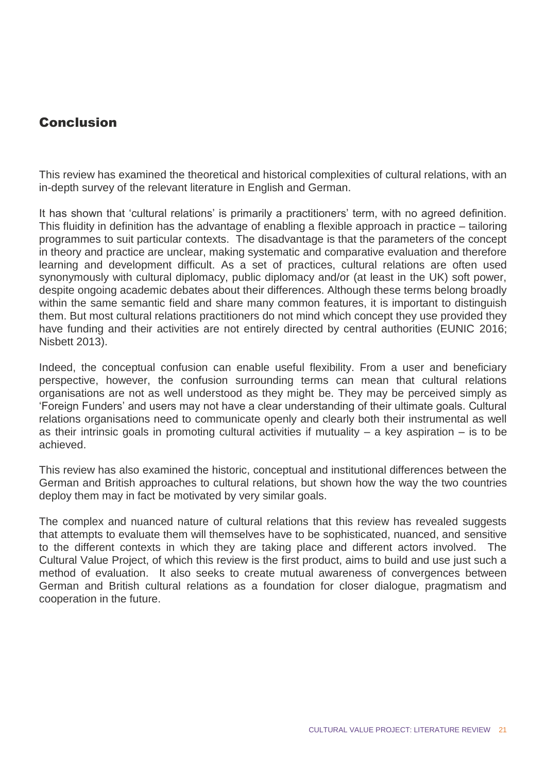## **Conclusion**

This review has examined the theoretical and historical complexities of cultural relations, with an in-depth survey of the relevant literature in English and German.

It has shown that 'cultural relations' is primarily a practitioners' term, with no agreed definition. This fluidity in definition has the advantage of enabling a flexible approach in practice – tailoring programmes to suit particular contexts. The disadvantage is that the parameters of the concept in theory and practice are unclear, making systematic and comparative evaluation and therefore learning and development difficult. As a set of practices, cultural relations are often used synonymously with cultural diplomacy, public diplomacy and/or (at least in the UK) soft power, despite ongoing academic debates about their differences. Although these terms belong broadly within the same semantic field and share many common features, it is important to distinguish them. But most cultural relations practitioners do not mind which concept they use provided they have funding and their activities are not entirely directed by central authorities (EUNIC 2016; Nisbett 2013).

Indeed, the conceptual confusion can enable useful flexibility. From a user and beneficiary perspective, however, the confusion surrounding terms can mean that cultural relations organisations are not as well understood as they might be. They may be perceived simply as 'Foreign Funders' and users may not have a clear understanding of their ultimate goals. Cultural relations organisations need to communicate openly and clearly both their instrumental as well as their intrinsic goals in promoting cultural activities if mutuality  $-$  a key aspiration  $-$  is to be achieved.

This review has also examined the historic, conceptual and institutional differences between the German and British approaches to cultural relations, but shown how the way the two countries deploy them may in fact be motivated by very similar goals.

The complex and nuanced nature of cultural relations that this review has revealed suggests that attempts to evaluate them will themselves have to be sophisticated, nuanced, and sensitive to the different contexts in which they are taking place and different actors involved. The Cultural Value Project, of which this review is the first product, aims to build and use just such a method of evaluation. It also seeks to create mutual awareness of convergences between German and British cultural relations as a foundation for closer dialogue, pragmatism and cooperation in the future.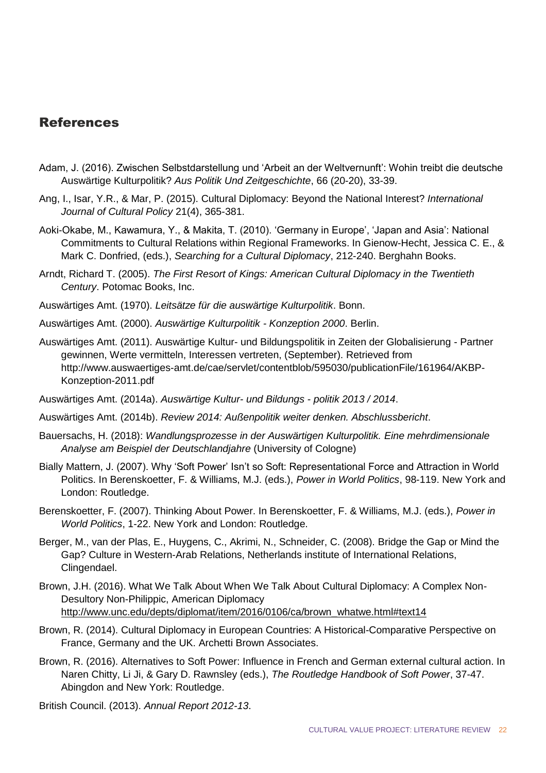### References

- Adam, J. (2016). Zwischen Selbstdarstellung und 'Arbeit an der Weltvernunft': Wohin treibt die deutsche Auswärtige Kulturpolitik? *Aus Politik Und Zeitgeschichte*, 66 (20-20), 33-39.
- Ang, I., Isar, Y.R., & Mar, P. (2015). Cultural Diplomacy: Beyond the National Interest? *International Journal of Cultural Policy* 21(4), 365-381.
- Aoki-Okabe, M., Kawamura, Y., & Makita, T. (2010). 'Germany in Europe', 'Japan and Asia': National Commitments to Cultural Relations within Regional Frameworks. In Gienow-Hecht, Jessica C. E., & Mark C. Donfried, (eds.), *Searching for a Cultural Diplomacy*, 212-240. Berghahn Books.
- Arndt, Richard T. (2005). *The First Resort of Kings: American Cultural Diplomacy in the Twentieth Century*. Potomac Books, Inc.
- Auswärtiges Amt. (1970). *Leitsätze für die auswärtige Kulturpolitik*. Bonn.
- Auswärtiges Amt. (2000). *Auswärtige Kulturpolitik - Konzeption 2000*. Berlin.
- Auswärtiges Amt. (2011). Auswärtige Kultur- und Bildungspolitik in Zeiten der Globalisierung Partner gewinnen, Werte vermitteln, Interessen vertreten, (September). Retrieved from http://www.auswaertiges-amt.de/cae/servlet/contentblob/595030/publicationFile/161964/AKBP-Konzeption-2011.pdf
- Auswärtiges Amt. (2014a). *Auswärtige Kultur- und Bildungs politik 2013 / 2014*.
- Auswärtiges Amt. (2014b). *Review 2014: Außenpolitik weiter denken. Abschlussbericht*.
- Bauersachs, H. (2018): *Wandlungsprozesse in der Auswärtigen Kulturpolitik. Eine mehrdimensionale Analyse am Beispiel der Deutschlandjahre* (University of Cologne)
- Bially Mattern, J. (2007). Why 'Soft Power' Isn't so Soft: Representational Force and Attraction in World Politics. In Berenskoetter, F. & Williams, M.J. (eds.), *Power in World Politics*, 98-119. New York and London: Routledge.
- Berenskoetter, F. (2007). Thinking About Power. In Berenskoetter, F. & Williams, M.J. (eds.), *Power in World Politics*, 1-22. New York and London: Routledge.
- Berger, M., van der Plas, E., Huygens, C., Akrimi, N., Schneider, C. (2008). Bridge the Gap or Mind the Gap? Culture in Western-Arab Relations, Netherlands institute of International Relations, Clingendael.
- Brown, J.H. (2016). What We Talk About When We Talk About Cultural Diplomacy: A Complex Non-Desultory Non-Philippic, American Diplomacy [http://www.unc.edu/depts/diplomat/item/2016/0106/ca/brown\\_whatwe.html#text14](http://www.unc.edu/depts/diplomat/item/2016/0106/ca/brown_whatwe.html#text14)
- Brown, R. (2014). Cultural Diplomacy in European Countries: A Historical-Comparative Perspective on France, Germany and the UK. Archetti Brown Associates.
- Brown, R. (2016). Alternatives to Soft Power: Influence in French and German external cultural action. In Naren Chitty, Li Ji, & Gary D. Rawnsley (eds.), *The Routledge Handbook of Soft Power*, 37-47. Abingdon and New York: Routledge.
- British Council. (2013). *Annual Report 2012-13*.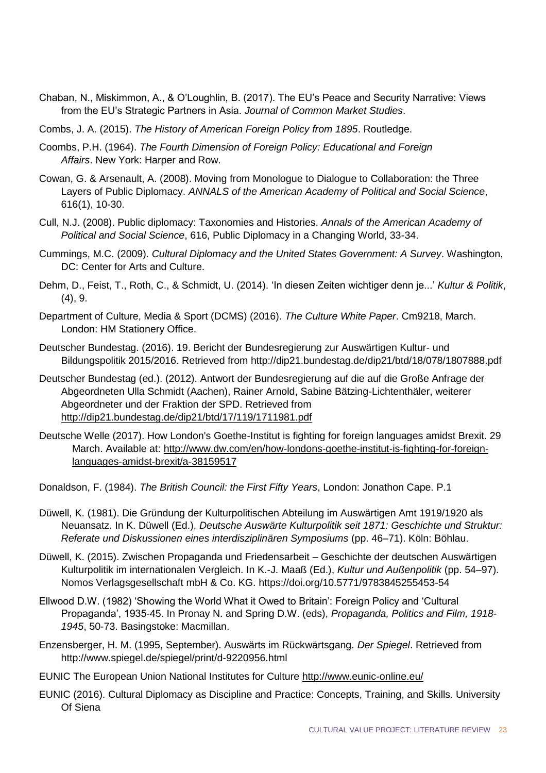- Chaban, N., Miskimmon, A., & O'Loughlin, B. (2017). The EU's Peace and Security Narrative: Views from the EU's Strategic Partners in Asia. *Journal of Common Market Studies*.
- Combs, J. A. (2015). *The History of American Foreign Policy from 1895*. Routledge.
- Coombs, P.H. (1964). *The Fourth Dimension of Foreign Policy: Educational and Foreign Affairs*. New York: Harper and Row.
- Cowan, G. & Arsenault, A. (2008). Moving from Monologue to Dialogue to Collaboration: the Three Layers of Public Diplomacy. *ANNALS of the American Academy of Political and Social Science*, 616(1), 10-30.
- Cull, N.J. (2008). Public diplomacy: Taxonomies and Histories. *Annals of the American Academy of Political and Social Science*, 616, Public Diplomacy in a Changing World, 33-34.
- Cummings, M.C. (2009). *Cultural Diplomacy and the United States Government: A Survey*. Washington, DC: Center for Arts and Culture.
- Dehm, D., Feist, T., Roth, C., & Schmidt, U. (2014). 'In diesen Zeiten wichtiger denn je...' *Kultur & Politik*, (4), 9.
- Department of Culture, Media & Sport (DCMS) (2016). *The Culture White Paper*. Cm9218, March. London: HM Stationery Office.
- Deutscher Bundestag. (2016). 19. Bericht der Bundesregierung zur Auswärtigen Kultur- und Bildungspolitik 2015/2016. Retrieved from http://dip21.bundestag.de/dip21/btd/18/078/1807888.pdf
- Deutscher Bundestag (ed.). (2012). Antwort der Bundesregierung auf die auf die Große Anfrage der Abgeordneten Ulla Schmidt (Aachen), Rainer Arnold, Sabine Bätzing-Lichtenthäler, weiterer Abgeordneter und der Fraktion der SPD. Retrieved from <http://dip21.bundestag.de/dip21/btd/17/119/1711981.pdf>
- Deutsche Welle (2017). How London's Goethe-Institut is fighting for foreign languages amidst Brexit. 29 March. Available at: [http://www.dw.com/en/how-londons-goethe-institut-is-fighting-for-foreign](http://www.dw.com/en/how-londons-goethe-institut-is-fighting-for-foreign-languages-amidst-brexit/a-38159517)[languages-amidst-brexit/a-38159517](http://www.dw.com/en/how-londons-goethe-institut-is-fighting-for-foreign-languages-amidst-brexit/a-38159517)

Donaldson, F. (1984). *The British Council: the First Fifty Years*, London: Jonathon Cape. P.1

- Düwell, K. (1981). Die Gründung der Kulturpolitischen Abteilung im Auswärtigen Amt 1919/1920 als Neuansatz. In K. Düwell (Ed.), *Deutsche Auswärte Kulturpolitik seit 1871: Geschichte und Struktur: Referate und Diskussionen eines interdisziplinären Symposiums* (pp. 46–71). Köln: Böhlau.
- Düwell, K. (2015). Zwischen Propaganda und Friedensarbeit Geschichte der deutschen Auswärtigen Kulturpolitik im internationalen Vergleich. In K.-J. Maaß (Ed.), *Kultur und Außenpolitik* (pp. 54–97). Nomos Verlagsgesellschaft mbH & Co. KG. https://doi.org/10.5771/9783845255453-54
- Ellwood D.W. (1982) 'Showing the World What it Owed to Britain': Foreign Policy and 'Cultural Propaganda', 1935-45. In Pronay N. and Spring D.W. (eds), *Propaganda, Politics and Film, 1918- 1945*, 50-73. Basingstoke: Macmillan.
- Enzensberger, H. M. (1995, September). Auswärts im Rückwärtsgang. *Der Spiegel*. Retrieved from http://www.spiegel.de/spiegel/print/d-9220956.html
- EUNIC The European Union National Institutes for Culture<http://www.eunic-online.eu/>
- EUNIC (2016). Cultural Diplomacy as Discipline and Practice: Concepts, Training, and Skills. University Of Siena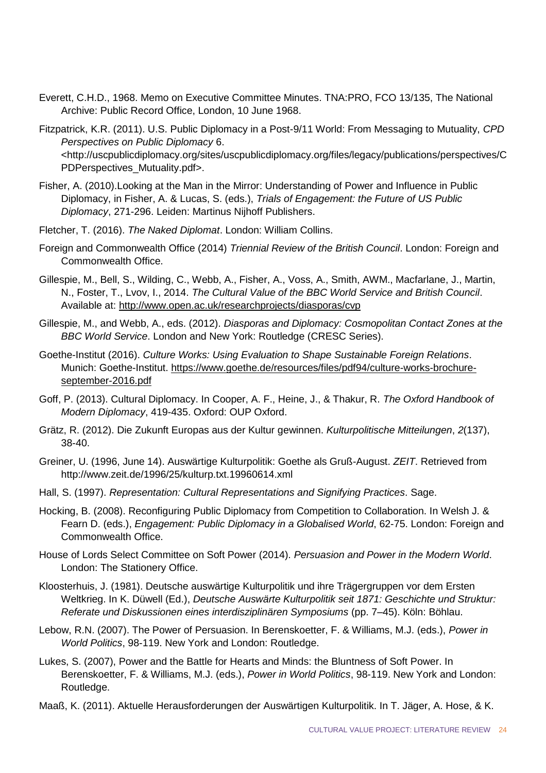- Everett, C.H.D., 1968. Memo on Executive Committee Minutes. TNA:PRO, FCO 13/135, The National Archive: Public Record Office, London, 10 June 1968.
- Fitzpatrick, K.R. (2011). U.S. Public Diplomacy in a Post-9/11 World: From Messaging to Mutuality, *CPD Perspectives on Public Diplomacy* 6. <http://uscpublicdiplomacy.org/sites/uscpublicdiplomacy.org/files/legacy/publications/perspectives/C PDPerspectives\_Mutuality.pdf>.
- Fisher, A. (2010).Looking at the Man in the Mirror: Understanding of Power and Influence in Public Diplomacy, in Fisher, A. & Lucas, S. (eds.), *Trials of Engagement: the Future of US Public Diplomacy*, 271-296. Leiden: Martinus Nijhoff Publishers.
- Fletcher, T. (2016). *The Naked Diplomat*. London: William Collins.
- Foreign and Commonwealth Office (2014) *Triennial Review of the British Council*. London: Foreign and Commonwealth Office.
- Gillespie, M., Bell, S., Wilding, C., Webb, A., Fisher, A., Voss, A., Smith, AWM., Macfarlane, J., Martin, N., Foster, T., Lvov, I., 2014. *The Cultural Value of the BBC World Service and British Council*. Available at:<http://www.open.ac.uk/researchprojects/diasporas/cvp>
- Gillespie, M., and Webb, A., eds. (2012). *Diasporas and Diplomacy: Cosmopolitan Contact Zones at the BBC World Service*. London and New York: Routledge (CRESC Series).
- Goethe-Institut (2016). *Culture Works: Using Evaluation to Shape Sustainable Foreign Relations*. Munich: Goethe-Institut. [https://www.goethe.de/resources/files/pdf94/culture-works-brochure](https://www.goethe.de/resources/files/pdf94/culture-works-brochure-september-2016.pdf)[september-2016.pdf](https://www.goethe.de/resources/files/pdf94/culture-works-brochure-september-2016.pdf)
- Goff, P. (2013). Cultural Diplomacy. In Cooper, A. F., Heine, J., & Thakur, R. *The Oxford Handbook of Modern Diplomacy*, 419-435. Oxford: OUP Oxford.
- Grätz, R. (2012). Die Zukunft Europas aus der Kultur gewinnen. *Kulturpolitische Mitteilungen*, *2*(137), 38-40.
- Greiner, U. (1996, June 14). Auswärtige Kulturpolitik: Goethe als Gruß-August. *ZEIT*. Retrieved from http://www.zeit.de/1996/25/kulturp.txt.19960614.xml
- Hall, S. (1997). *Representation: Cultural Representations and Signifying Practices*. Sage.
- Hocking, B. (2008). Reconfiguring Public Diplomacy from Competition to Collaboration. In Welsh J. & Fearn D. (eds.), *Engagement: Public Diplomacy in a Globalised World*, 62-75. London: Foreign and Commonwealth Office.
- House of Lords Select Committee on Soft Power (2014). *Persuasion and Power in the Modern World*. London: The Stationery Office.
- Kloosterhuis, J. (1981). Deutsche auswärtige Kulturpolitik und ihre Trägergruppen vor dem Ersten Weltkrieg. In K. Düwell (Ed.), *Deutsche Auswärte Kulturpolitik seit 1871: Geschichte und Struktur: Referate und Diskussionen eines interdisziplinären Symposiums* (pp. 7–45). Köln: Böhlau.
- Lebow, R.N. (2007). The Power of Persuasion. In Berenskoetter, F. & Williams, M.J. (eds.), *Power in World Politics*, 98-119. New York and London: Routledge.
- Lukes, S. (2007), Power and the Battle for Hearts and Minds: the Bluntness of Soft Power. In Berenskoetter, F. & Williams, M.J. (eds.), *Power in World Politics*, 98-119. New York and London: Routledge.
- Maaß, K. (2011). Aktuelle Herausforderungen der Auswärtigen Kulturpolitik. In T. Jäger, A. Hose, & K.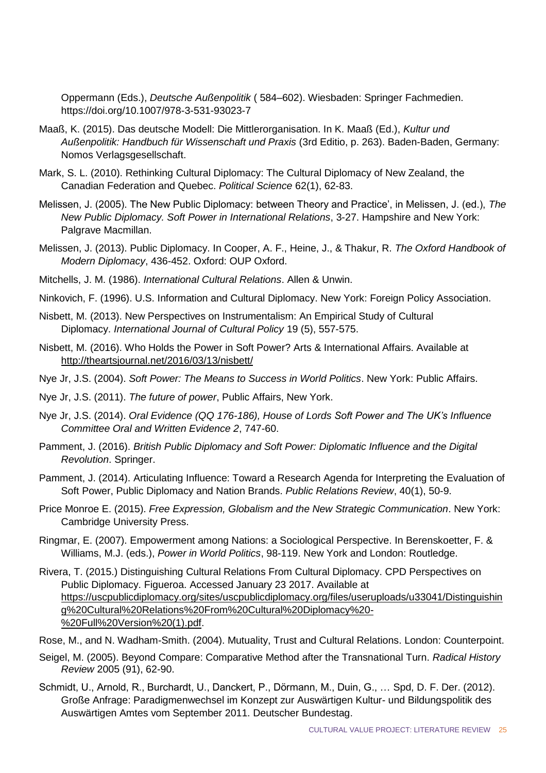Oppermann (Eds.), *Deutsche Außenpolitik* ( 584–602). Wiesbaden: Springer Fachmedien. https://doi.org/10.1007/978-3-531-93023-7

- Maaß, K. (2015). Das deutsche Modell: Die Mittlerorganisation. In K. Maaß (Ed.), *Kultur und Außenpolitik: Handbuch für Wissenschaft und Praxis* (3rd Editio, p. 263). Baden-Baden, Germany: Nomos Verlagsgesellschaft.
- Mark, S. L. (2010). Rethinking Cultural Diplomacy: The Cultural Diplomacy of New Zealand, the Canadian Federation and Quebec. *Political Science* 62(1), 62-83.
- Melissen, J. (2005). The New Public Diplomacy: between Theory and Practice', in Melissen, J. (ed.), *The New Public Diplomacy. Soft Power in International Relations*, 3-27. Hampshire and New York: Palgrave Macmillan.
- Melissen, J. (2013). Public Diplomacy. In Cooper, A. F., Heine, J., & Thakur, R. *The Oxford Handbook of Modern Diplomacy*, 436-452. Oxford: OUP Oxford.
- Mitchells, J. M. (1986). *International Cultural Relations*. Allen & Unwin.
- Ninkovich, F. (1996). U.S. Information and Cultural Diplomacy. New York: Foreign Policy Association.
- Nisbett, M. (2013). New Perspectives on Instrumentalism: An Empirical Study of Cultural Diplomacy. *International Journal of Cultural Policy* 19 (5), 557-575.
- Nisbett, M. (2016). Who Holds the Power in Soft Power? Arts & International Affairs. Available at <http://theartsjournal.net/2016/03/13/nisbett/>
- Nye Jr, J.S. (2004). *Soft Power: The Means to Success in World Politics*. New York: Public Affairs.
- Nye Jr, J.S. (2011). *The future of power*, Public Affairs, New York.
- Nye Jr, J.S. (2014). *Oral Evidence (QQ 176-186), House of Lords Soft Power and The UK's Influence Committee Oral and Written Evidence 2*, 747-60.
- Pamment, J. (2016). *British Public Diplomacy and Soft Power: Diplomatic Influence and the Digital Revolution*. Springer.
- Pamment, J. (2014). Articulating Influence: Toward a Research Agenda for Interpreting the Evaluation of Soft Power, Public Diplomacy and Nation Brands. *Public Relations Review*, 40(1), 50-9.
- Price Monroe E. (2015). *Free Expression, Globalism and the New Strategic Communication*. New York: Cambridge University Press.
- Ringmar, E. (2007). Empowerment among Nations: a Sociological Perspective. In Berenskoetter, F. & Williams, M.J. (eds.), *Power in World Politics*, 98-119. New York and London: Routledge.
- Rivera, T. (2015.) Distinguishing Cultural Relations From Cultural Diplomacy. CPD Perspectives on Public Diplomacy. Figueroa. Accessed January 23 2017. Available at [https://uscpublicdiplomacy.org/sites/uscpublicdiplomacy.org/files/useruploads/u33041/Distinguishin](https://uscpublicdiplomacy.org/sites/uscpublicdiplomacy.org/files/useruploads/u33041/Distinguishing%20Cultural%20Relations%20From%20Cultural%20Diplomacy%20-%20Full%20Version%20(1).pdf) [g%20Cultural%20Relations%20From%20Cultural%20Diplomacy%20-](https://uscpublicdiplomacy.org/sites/uscpublicdiplomacy.org/files/useruploads/u33041/Distinguishing%20Cultural%20Relations%20From%20Cultural%20Diplomacy%20-%20Full%20Version%20(1).pdf) [%20Full%20Version%20\(1\).pdf.](https://uscpublicdiplomacy.org/sites/uscpublicdiplomacy.org/files/useruploads/u33041/Distinguishing%20Cultural%20Relations%20From%20Cultural%20Diplomacy%20-%20Full%20Version%20(1).pdf)
- Rose, M., and N. Wadham-Smith. (2004). Mutuality, Trust and Cultural Relations. London: Counterpoint.
- Seigel, M. (2005). Beyond Compare: Comparative Method after the Transnational Turn. *Radical History Review* 2005 (91), 62-90.
- Schmidt, U., Arnold, R., Burchardt, U., Danckert, P., Dörmann, M., Duin, G., … Spd, D. F. Der. (2012). Große Anfrage: Paradigmenwechsel im Konzept zur Auswärtigen Kultur- und Bildungspolitik des Auswärtigen Amtes vom September 2011. Deutscher Bundestag.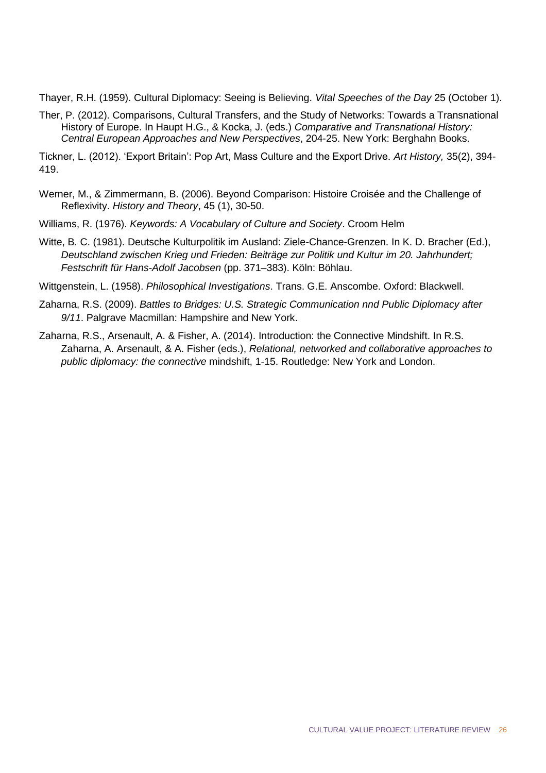Thayer, R.H. (1959). Cultural Diplomacy: Seeing is Believing. *Vital Speeches of the Day* 25 (October 1).

Ther, P. (2012). Comparisons, Cultural Transfers, and the Study of Networks: Towards a Transnational History of Europe. In Haupt H.G., & Kocka, J. (eds.) *Comparative and Transnational History: Central European Approaches and New Perspectives*, 204-25. New York: Berghahn Books.

Tickner, L. (2012). 'Export Britain': Pop Art, Mass Culture and the Export Drive. *Art History,* 35(2), 394- 419.

- Werner, M., & Zimmermann, B. (2006). Beyond Comparison: Histoire Croisée and the Challenge of Reflexivity. *History and Theory*, 45 (1), 30-50.
- Williams, R. (1976). *Keywords: A Vocabulary of Culture and Society*. Croom Helm
- Witte, B. C. (1981). Deutsche Kulturpolitik im Ausland: Ziele-Chance-Grenzen. In K. D. Bracher (Ed.), *Deutschland zwischen Krieg und Frieden: Beiträge zur Politik und Kultur im 20. Jahrhundert; Festschrift für Hans-Adolf Jacobsen* (pp. 371–383). Köln: Böhlau.

Wittgenstein, L. (1958). *Philosophical Investigations*. Trans. G.E. Anscombe. Oxford: Blackwell.

- Zaharna, R.S. (2009). *Battles to Bridges: U.S. Strategic Communication nnd Public Diplomacy after 9/11*. Palgrave Macmillan: Hampshire and New York.
- Zaharna, R.S., Arsenault, A. & Fisher, A. (2014). Introduction: the Connective Mindshift. In R.S. Zaharna, A. Arsenault, & A. Fisher (eds.), *Relational, networked and collaborative approaches to public diplomacy: the connective* mindshift, 1-15. Routledge: New York and London.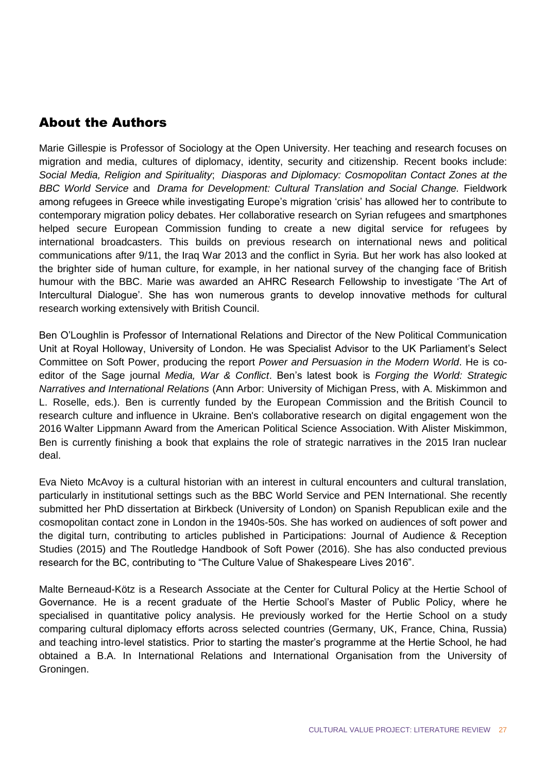### About the Authors

Marie Gillespie is Professor of Sociology at the Open University. Her teaching and research focuses on migration and media, cultures of diplomacy, identity, security and citizenship. Recent books include: *Social Media, Religion and Spirituality*; *Diasporas and Diplomacy: Cosmopolitan Contact Zones at the BBC World Service* and *Drama for Development: Cultural Translation and Social Change.* Fieldwork among refugees in Greece while investigating Europe's migration 'crisis' has allowed her to contribute to contemporary migration policy debates. Her collaborative research on Syrian refugees and smartphones helped secure European Commission funding to create a new digital service for refugees by international broadcasters. This builds on previous research on international news and political communications after 9/11, the Iraq War 2013 and the conflict in Syria. But her work has also looked at the brighter side of human culture, for example, in her national survey of the changing face of British humour with the BBC. Marie was awarded an AHRC Research Fellowship to investigate 'The Art of Intercultural Dialogue'. She has won numerous grants to develop innovative methods for cultural research working extensively with British Council.

Ben O'Loughlin is Professor of International Relations and Director of the New Political Communication Unit at Royal Holloway, University of London. He was Specialist Advisor to the UK Parliament's Select Committee on Soft Power, producing the report *Power and Persuasion in the Modern World*. He is coeditor of the Sage journal *Media, War & Conflict*. Ben's latest book is *Forging the World: Strategic Narratives and International Relations* (Ann Arbor: University of Michigan Press, with A. Miskimmon and L. Roselle, eds.). Ben is currently funded by the European Commission and the British Council to research culture and influence in Ukraine. Ben's collaborative research on digital engagement won the 2016 Walter Lippmann Award from the American Political Science Association. With Alister Miskimmon, Ben is currently finishing a book that explains the role of strategic narratives in the 2015 Iran nuclear deal.

Eva Nieto McAvoy is a cultural historian with an interest in cultural encounters and cultural translation, particularly in institutional settings such as the BBC World Service and PEN International. She recently submitted her PhD dissertation at Birkbeck (University of London) on Spanish Republican exile and the cosmopolitan contact zone in London in the 1940s-50s. She has worked on audiences of soft power and the digital turn, contributing to articles published in Participations: Journal of Audience & Reception Studies (2015) and The Routledge Handbook of Soft Power (2016). She has also conducted previous research for the BC, contributing to "The Culture Value of Shakespeare Lives 2016".

Malte Berneaud-Kötz is a Research Associate at the Center for Cultural Policy at the Hertie School of Governance. He is a recent graduate of the Hertie School's Master of Public Policy, where he specialised in quantitative policy analysis. He previously worked for the Hertie School on a study comparing cultural diplomacy efforts across selected countries (Germany, UK, France, China, Russia) and teaching intro-level statistics. Prior to starting the master's programme at the Hertie School, he had obtained a B.A. In International Relations and International Organisation from the University of Groningen.